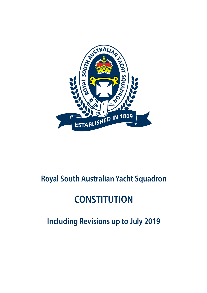

## **Royal South Australian Yacht Squadron**

# **CONSTITUTION**

**Including Revisions up to July 2019**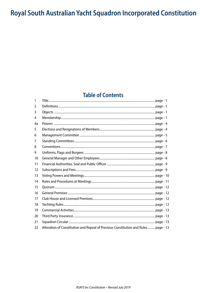## Royal South Australian Yacht Squadron Incorporated Constitution

### **Table of Contents**

| Alteration of Constitution and Repeal of Previous Constitution and Rules  page - 13 |
|-------------------------------------------------------------------------------------|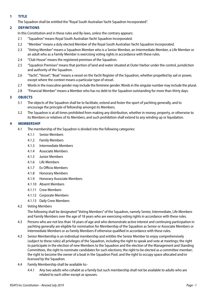#### <span id="page-2-0"></span>**1 TITLE**

The Squadron shall be entitled the "Royal South Australian Yacht Squadron Incorporated".

#### **2 DEFINITIONS**

In this Constitution and in these rules and By-laws, unless the contrary appears:

- 2.1 "Squadron" means Royal South Australian Yacht Squadron Incorporated.
- 2.2 "Member" means a duly elected Member of the Royal South Australian Yacht Squadron Incorporated.
- 2.3 "Voting Member" means a Squadron Member who is a Senior Member, an Intermediate Member, a Life Member or an adult who as a Family Member is exercising voting rights in accordance with these rules.
- 2.4 "Club House" means the registered premises of the Squadron.
- 2.5 "Squadron Premises" means that portion of land and water situated at Outer Harbor under the control, jurisdiction and authority of the Squadron.
- 2.6 "Yacht", "Vessel", "Boat" means a vessel on the Yacht Register of the Squadron, whether propelled by sail or power, except where the context means a particular type of vessel.
- 2.7 Words in the masculine gender may include the feminine gender. Words in the singular number may include the plural.
- 2.8 "Financial Member" means a Member who has no debt to the Squadron outstanding for more than thirty days.

#### **3 OBJECTS**

- 3.1 The objects of the Squadron shall be to facilitate, extend and foster the sport of yachting generally, and to encourage the principle of fellowship amongst its Members.
- 3.2 The Squadron is at all times prohibited from making any distribution, whether in money, property, or otherwise to its Members or relatives of its Members, and such prohibition shall extend to any winding up or liquidation.

#### **4 MEMBERSHIP**

- 4.1 The membership of the Squadron is divided into the following categories:
	- 4.1.1 Senior Members
	- 4.1.2 Family Members
	- 4.1.3 Intermediate Members
	- 4.1.4 Associate Members
	- 4.1.5 Junior Members
	- 4.1.6 Life Members
	- 4.1.7 Ex Officio Members
	- 4.1.8 Honorary Members
	- 4.1.9 Honorary Associate Members
	- 4.1.10 Absent Members
	- 4.1.11 Crew Members
	- 4.1.12 Corporate Members
	- 4.1.13 Daily Crew Members
- 4.2 Voting Members

The following shall be designated "Voting Members" of the Squadron, namely Senior, Intermediate, Life Members and Family Members over the age of 18 years who are exercising voting rights in accordance with these rules.

- 4.3 Persons who are not less than 18 years of age and who demonstrate active interest and continuing participation in yachting generally are eligible for nomination for Membership of the Squadron as Senior or Associate Members or Intermediate Members or as Family Members if otherwise qualified in accordance with these rules.
- 4.3 Senior Membership is an individual membership and entitles the Senior Member to enjoy comprehensively (subject to these rules) all privileges of the Squadron, including the right to speak and vote at meetings; the right to participate in the election of new Members to the Squadron and the election of the Management and Standing Committees, the right to nominate candidates for such elections; the right to be elected as a committee member; the right to become the owner of a boat in the Squadron Pool; and the right to occupy space allocated and/or licensed by the Squadron.
- 4.4 Family Membership shall be available to:-
	- 4.4.1 Any two adults who cohabit as a family but such membership shall not be available to adults who are related to each other except as spouses.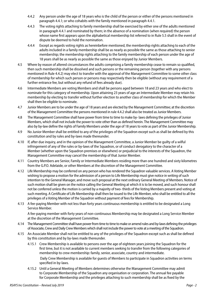- 4.4.2 Any person under the age of 18 years who is the child of the person or either of the persons mentioned in paragraph 4.4.1; or who cohabits with the family mentioned in paragraph 4.4.1.
- 4.4.3 The voting rights attaching to family membership shall be exercised by either one of the adults mentioned in paragraph 4.4.1 and nominated by them; in the absence of a nomination (when required) the person whose name first appears upon the alphabetical membership list referred to in Rule 5.5 shall in the event of dispute be deemed to hold the nomination.
- 4.4.4 Except as regards voting rights as hereinbefore mentioned, the membership rights attaching to each of the adults included in a family membership shall be as nearly as possible the same as those attaching to senior membership; the membership rights attaching to the family membership of each person under the age of 18 years shall be as nearly as possible the same as those enjoyed by Junior Members.
- 4.5 Where by reason of altered circumstances the adults comprising a family membership cease to remain so qualified, then such membership shall be dissolved and such persons or the remaining person (together with any persons mentioned in Rule 4.4.2) may elect to transfer with the approval of the Management Committee to some other class of membership for which such person or persons may respectively then be eligible (without any requirement of a further entrance fee, but without any refund of fees already due).
- 4.6 Intermediate Members are voting Members and shall be persons aged between 18 and 23 years and who elect to nominate for this category of membership. Upon attaining 23 years of age an Intermediate Member may retain his membership by electing to transfer without further election to another class of membership for which the Member shall then be eligible to nominate.
- 4.7 Junior Members are to be under the age of 18 years and are elected by the Management Committee; at the discretion of the Management Committee the persons mentioned in rule 4.4.2 shall also be treated as Junior Members.
- 4.8 The Management Committee shall have power from time to time to make by- laws defining the privileges of Junior Members, which shall not include the power to vote other than as defined herein. The Management Committee may also by by-law define the rights of Family Members under the age of 18 years to vote as part of the Junior Membership.
- 4.9 No Junior Member shall be entitled to any of the privileges of the Squadron except such as shall be defined by this constitution and by rules and by-laws made thereunder.
- 4.10 If, after due inquiry, and in the opinion of the Management Committee, a Junior Member be guilty of a wilful infringement of any of the rules or by-laws of the Squadron, or of conduct derogatory to the character of a Member (whether upon the Squadron premises or elsewhere) or prejudicial to the interests of the Squadron, the Management Committee may cancel the membership of that Junior Member.
- 4.11 Country Members are Senior, Family or Intermediate Members residing more than one hundred and sixty kilometres from the G.P.O. Adelaide, or other Members at the discretion of the Management Committee.
- 4.12 Life Membership may be conferred on any person who has rendered the Squadron valuable services. A Voting Member wishing to propose a motion for the admission of a person to Life Membership must give notice in writing of such intention to the General Manager, and move such proposal at the next ordinary General Meeting of Members. Notice of such motion shall be given on the notice calling the General Meeting at which it is to be moved, and such honour shall not be conferred unless the motion is carried by a majority of two- thirds of the Voting Members present and voting at such meeting. A Certificate of Life Membership shall then be issued to the Life Member, who shall be entitled to all the privileges of a Voting Member of the Squadron without payment of fees for Membership.
- 4.13 A fee-paying Member with not less than forty years continuous membership is entitled to be designated a Long Service Member.

A fee-paying member with forty years of non-continuous Membership may be designated a Long Service Member at the discretion of the Management Committee.

- 4.14 The Management Committee shall have power from time to time to make or amend rules and by-laws defining the privileges of Associate, Crew and Daily Crew Members which shall not include the power to vote at a meeting of the Squadron.
- 4.15 An Associate Member shall not be entitled to any of the privileges of the Squadron except such as shall be defined by this constitution and by by-laws made thereunder.
	- 4.15.1 Crew Membership is available to persons over the age of eighteen years joining the Squadron for the first time, but it is not available to current members seeking to transfer from the following categories of membership to crew membership: family, senior, associate, country and intermediate. Daily Crew Membership is available for guests of Members to participate in Squadron activities on terms specified in by-laws.
	- 4.15.2 Until a General Meeting of Members determines otherwise the Management Committee may admit to Corporate Membership of the Squadron any organisation or corporation. The annual fee payable for Corporate Membership and the privileges attaching to such membership shall be as fixed by the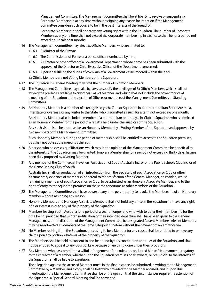Management Committee. The Management Committee shall be at liberty to revoke or suspend any Corporate Membership at any time without assigning any reason for its action if the Management Committee considers such course to be in the best interests of the Squadron.

Corporate Membership shall not carry any voting rights within the Squadron. The number of Corporate Members at any one time shall not exceed six. Corporate membership in each case shall be for a period not exceeding 12 calendar months.

- 4.16 The Management Committee may elect Ex Officio Members, who are limited to:
	- 4.16.1 A Minister of the Crown;
	- 4.16.2 The Commissioner of Police or a police officer nominated by him;
	- 4.16.3 A Director or other officer of a Government Department, whose name has been submitted with the approval of the Director or Chief Executive Officer of the Department concerned;
	- 4.16.4 A person fulfilling the duties of coxswain of a Government vessel moored within the pool.
	- Ex Officio Members are not Voting Members of the Squadron.
- 4.17 The Squadron in General Meeting may limit the number of Ex Officio Members.
- 4.18 The Management Committee may make by-laws to specify the privileges of Ex Officio Members, which shall not exceed the privileges available to any other class of Member, and which shall not include the power to vote at a meeting of the Squadron or the election of Officers or members of the Management Committees or Standing Committees.
- 4.19 An Honorary Member is a member of a recognised yacht Club or Squadron in non-metropolitan South Australia, interstate or overseas, or any visitor to the State, who is admitted as such for a term not exceeding one month. An Honorary Member also includes a member of a metropolitan or other yacht Club or Squadron who is admitted as an Honorary Member for the period of a regatta held under the auspices of the Squadron.

Any such visitor is to be proposed as an Honorary Member by a Voting Member of the Squadron and approved by two members of the Management Committee.

Such Honorary Members during the period of membership shall be entitled to access to the Squadron premises, but shall not vote at the meetings thereof.

- 4.20 A person who possesses qualifications which may in the opinion of the Management Committee be beneficial to the interests of the Squadron may be granted Honorary Membership for a period not exceeding thirty days, having been duly proposed by a Voting Member.
- 4.21 Any member of the Commercial Travellers' Association of South Australia Inc. or of the Public Schools Club Inc. or of the Game Fishing Club of South

Australia Inc. shall, on production of an introduction from the Secretary of such Association or Club or other documentary evidence of membership thereof to the satisfaction of the General Manager, be entitled, whilst remaining a member of such Association or Club, to be admitted as an Honorary Associate Member, and to the right of entry to the Squadron premises on the same conditions as other Members of the Squadron.

- 4.22 The Management Committee shall have power at any time peremptorily to revoke the Membership of an Honorary Member without assigning any reason.
- 4.23 Honorary Members and Honorary Associate Members shall not hold any office in the Squadron nor have any right, title or interest in or to any of the property of the Squadron.
- 4.24 Members leaving South Australia for a period of a year or longer and who wish to defer their membership for the time being, provided that written notification of their intended departure shall have been given to the General Manager, may, at the discretion of the Management Committee, be designated Absent Members. Absent Members may be re-admitted as Members of the same category as before without the payment of an entrance fee.
- 4.25 No Member retiring from the Squadron, or ceasing to be a Member for any cause, shall be entitled to or have any claim upon any portion whatever of the property of the Squadron.
- 4.26 The Members shall be held to consent to and be bound by this constitution and rules of the Squadron, and shall not be entitled to appeal to any Court of Law because of anything done under their provisions.
- 4.27 Any Member who has committed a wilful infringement of the rules, or conducted himself in a manner derogatory to the character of a Member, whether upon the Squadron premises or elsewhere, or prejudicial to the interests of the Squadron, shall be liable to expulsion.

The allegation against the accused Member must, in the first instance, be submitted in writing to the Management Committee by a Member, and a copy shall be forthwith provided to the Member accused, and if upon due investigation the Management Committee shall be of the opinion that the circumstances require the attention of the Squadron, a Special General Meeting shall be convened.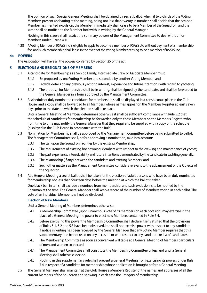<span id="page-5-0"></span>The opinion of such Special General Meeting shall be obtained by secret ballot, when, if two-thirds of the Voting Members present and voting at the meeting, being not less than twenty in number, shall decide that the accused Member has merited expulsion, the Member immediately shall cease to be a Member of the Squadron, and the same shall be notified to the Member forthwith in writing by the General Manager.

Nothing in this clause shall restrict the summary powers of the Management Committee to deal with Junior Members under Clause 4.10.

4.28 A Voting Member of RSAYS Inc is eligible to apply to become a member of RSAYS Ltd without payment of a membership fee, and such membership shall lapse in the event of the Voting Member ceasing to be a member of RSAYS Inc.

#### **4a POWERS**

The Association will have all the powers conferred by Section 25 of the act

#### **5 ELECTIONS AND RESIGNATIONS OF MEMBERS**

- 5.1 A candidate for Membership as a Senior, Family, Intermediate Crew or Associate Member must:
	- 5.1.1 Be proposed by one Voting Member and seconded by another Voting Member; and
	- 5.1.2 Provide details of any previous yachting interest, experience and future intentions with regard to yachting.
	- 5.1.3 The proposal for Membership shall be in writing, shall be signed by the candidate, and shall be forwarded to the General Manager in a form approved by the Management Committee.
- 5.2 A schedule of duly nominated candidates for membership shall be displayed in a conspicuous place in the Club House, and a copy shall be forwarded to all Members whose names appear on the Members Register at least seven days prior to the date on which the election shall take place.

Until a General Meeting of Members determines otherwise it shall be sufficient compliance with Rule 5.2 that the schedule of candidates for membership be forwarded only to those Members on the Members Register who from time to time may notify the General Manager that they require to be supplied with a copy of the schedule (displayed in the Club House in accordance with the Rule).

- 5.3 Nomination for Membership shall be approved by the Management Committee before being submitted to ballot. The Management Committee shall, before approving a nomination, take into account:
	- 5.3.1 The call upon the Squadron facilities by the existing Membership;
	- 5.3.2 The requirements of existing boat owning Members with respect to the crewing and maintenance of yachts;
	- 5.3.3 The past experience, interest, ability and future intentions demonstrated by the candidate in yachting generally;
	- 5.3.4 The relationship (if any) between the candidate and existing Members; and
	- 5.3.5 Such other matters as the Management Committee considers relevant to the advancement of the Objects of the Squadron.
- 5.4 At a General Meeting a secret ballot shall be taken for the election of adult persons who have been duly nominated for membership not less than fourteen days before the meeting at which the ballot is taken.

One black ball in ten shall exclude a nominee from membership, and such exclusion is to be notified by the Chairman at the time. The General Manager shall keep a record of the number of Members voting in each ballot. The vote of an individual Member shall not be disclosed.

#### **Election of New Members**

Until a General Meeting of Members determines otherwise:

- 5.4.1 A Membership Committee (upon unanimous vote of its members on each occasion) may exercise in the place of a General Meeting the power to elect new Members contained in Rule 5.4.
- 5.4.2 Before exercising this power the Membership Committee shall declare itself satisfied that the provisions of Rules 5.1, 5.2 and 5.3 have been observed, but shall not exercise power with respect to any candidate if notice in writing has been received by the General Manager that any Voting Member requires that this supplementary rule be not used on any occasion or with respect to any candidate or list of candidates.
- 5.4.3 The Membership Committee as soon as convenient will table at a General Meeting of Members particulars of men and women so elected.
- 5.4.4 The Management Committee shall constitute the Membership Committee unless and until a General Meeting shall otherwise decide.
- 5.4.5 Nothing in this supplementary rule shall prevent a General Meeting from exercising its powers under Rule 5.4 in respect of a candidate for membership whose application is brought before a General Meeting.
- 5.5 The General Manager shall maintain at the Club House a Members Register of the names and addresses of all the current Members of the Squadron and showing in each case the Category of membership.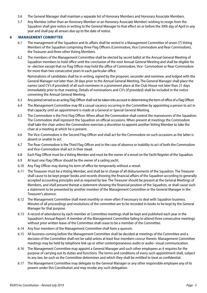- <span id="page-6-0"></span>5.6 The General Manager shall maintain a separate list of Honorary Members and Honorary Associate Members.
- 5.7 Any Member (other than an Honorary Member or an Honorary Associate Member) wishing to resign from the Squadron shall give notice in writing to the General Manager to that effect on or before the 30th day of April in any year and shall pay all arrears due up to the date of notice.

#### **6 MANAGEMENT COMMITTEE**

- 6.1 The management of the Squadron and its affairs shall be vested in a Management Committee of seven (7) Voting Members of the Squadron comprising three Flag Officers (Commodore, Vice Commodore and Rear Commodore), the Treasurer and three other Voting Members.
- 6.2 The members of the Management Committee shall be elected by secret ballot at the Annual General Meeting of Squadron members to hold office until the conclusion of the next Annual General Meeting and shall be eligible for re- election except that no Flag Officer may hold the office of Commodore, Vice- Commodore or Rear-Commodore for more than two consecutive years in each particular office.

Nominations of candidates shall be in writing, signed by the proposer, seconder and nominee, and lodged with the General Manager not later than 28 days prior to the Annual General Meeting. The General Manager shall place the names (and CV's if provided) of all such nominees in a prominent place at the Club House not later than 21 days immediately prior to that meeting. Details of nominations and CV's (if provided) shall be included in the notice convening the Annual General Meeting.

- 6.3 Any period served as an acting Flag Officer shall not be taken into account in determining the term of office of a Flag Officer.
- 6.4 The Management Committee may fill a casual vacancy occurring in the Committee by appointing a person to act in that capacity until an appointment is made at a General or Special General Meeting.
- 6.5 The Commodore is the First Flag Officer. When afloat the Commodore shall control the manoeuvres of the Squadron. The Commodore shall represent the Squadron on official occasions. When present at meetings the Commodore shall take the chair unless the Commodore exercises a discretion to appoint another Voting Member to take the chair at a meeting at which he is present.
- 6.6 The Vice-Commodore is the Second Flag Officer and shall act for the Commodore on such occasions as the latter is absent or unable to act.
- 6.7 The Rear-Commodore is the Third Flag Officer and in the case of absence or inability to act of both the Commodore and Vice-Commodore shall act in their stead.
- 6.8 Each Flag Officer must be a Voting Member and must be the owner of a vessel on the Yacht Register of the Squadron.
- 6.9 At least one Flag Officer should be the owner of a sailing yacht.
- 6.10 Any Flag Officer may during his term of office be temporarily without a vessel.
- 6.11 The Treasurer must be a Voting Member, and shall be in charge of all disbursements of the Squadron. The Treasurer shall cause to be kept proper books and records showing the financial affairs of the Squadron according to generally accepted accounting principles and as required by law. The Treasurer should be present at the General Meetings of Members, and shall present thereat a statement showing the financial position of the Squadron, or shall cause such a statement to be presented by another member of the Management Committee or the General Manager in the Treasurer's absence.
- 6.12 The Management Committee shall meet monthly or more often if necessary to deal with Squadron business. Minutes of all proceedings and resolutions of the committee are to be recorded in books to be kept by the General Manager for that purpose.
- 6.13 A record of attendance by each member at Committee meetings shall be kept and published each year in the Squadron's Annual Report. A member of the Management Committee failing to attend three consecutive meetings without prior written leave of the Committee shall cease to be a member of the Committee.
- 6.14 Any four members of the Management Committee shall form a quorum.
- 6.15 All business coming before the Management Committee shall be decided at meetings of the Committee and a decision of the Committee shall not be valid unless at least four members concur therein. Management Committee meetings may be held by telephone link-up or other contemporaneous audio or audio- visual communication.
- 6.16 The Management Committee may appoint a General Manager and such other employees as it requires for the purpose of carrying out its duties and functions. The terms and conditions of every such appointment shall, subject to any law, be such as the Committee determines and which they shall be entitled to treat as confidential.
- 6.17 The Management Committee may delegate to the General Manager or any other responsible employee any of its powers under this Constitution and may revoke any such delegation.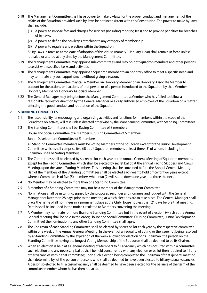- <span id="page-7-0"></span>6.18 The Management Committee shall have power to make by-laws for the proper conduct and management of the affairs of the Squadron provided such by-laws be not inconsistent with this Constitution. The power to make by-laws shall include:
	- (1) A power to impose fees and charges for services (including mooring fees) and to provide penalties for breaches of by-laws.
	- (2) A power to define the privileges attaching to any category of membership.
	- (3) A power to regulate any election within the Squadron.

All By Laws in force as at the date of adoption of this clause (namely 1 January 1998) shall remain in force unless repealed or altered at any time by the Management Committee.

- 6.19 The Management Committee may appoint sub-committees and may co-opt Squadron members and other persons to assist with specified tasks and activities.
- 6.20 The Management Committee may appoint a Squadron member to an honorary office to meet a specific need and may terminate any such appointment without giving a reason.
- 6.21 The Management Committee may call a Member, an Honorary Member or an Honorary Associate Member to account for the actions or inactions of that person or of a person introduced to the Squadron by that Member, Honorary Member or Honorary Associate Member.
- 6.22 The General Manager may bring before the Management Committee a Member who has failed to follow a reasonable request or direction by the General Manager or a duly authorised employee of the Squadron on a matter affecting the good conduct and reputation of the Squadron.

#### **7 STANDING COMMITTEES**

- 7.1 The responsibility for encouraging and organising activities and functions for members, within the scope of the Squadron's objectives, will rest, unless directed otherwise by the Management Committee, with Standing Committees.
- 7.2 The Standing Committees shall be: Racing Committee of 8 members

House and Social Committee of 6 members Cruising Committee of 5 members

Junior Development Committee of 5 members.

All Standing Committee members must be Voting Members of the Squadron except for the Junior Development Committee which shall comprise five (5) adult Squadron members, at least three (3) of whom, including the Chairman, shall be Voting Members.

- 7.3 The Committees shall be elected by secret ballot each year at the Annual General Meeting of Squadron members, except for the Racing Committee, which shall be elected by secret ballot at the annual Racing Skippers and Crews Meeting, upon the vote of Voting Members. This meeting shall be convened before the Annual General Meeting. Half of the members of the Standing Committees shall be elected each year to hold office for two years except where a Committee is of five (5) members when two (2) will stand down one year and three the next.
- 7.4 No Member may be elected to more than one Standing Committee.
- 7.5 A member of a Standing Committee may not be a member of the Management Committee.
- 7.6 Nominations shall be in writing, signed by the proposer, seconder and nominee and lodged with the General Manager not later than 28 days prior to the meeting at which elections are to take place. The General Manager shall place the name of all nominees in a prominent place at the Club House not less than 21 days before that meeting. Details shall be included in the notice circulated to Members convening the meeting.
- 7.7 A Member may nominate for more than one Standing Committee but in the event of election, (which at the Annual General Meeting shall be held in the order; House and Social Committee, Cruising Committee, Junior Development Committee) the nomination to any other Standing Committee shall lapse.
- 7.8 The Chairman of each Standing Committee shall be elected by secret ballot each year by the respective committee within one week of the Annual General Meeting. In the event of an equality of voting or the issue not being resolved by a Standing Committee by the expiration of the week allowed for election of its Chairman, the person on the Standing Committee having the longest Voting Membership of the Squadron shall be deemed to be its Chairman.
- 7.9 When an election is held at a General Meeting of Members to fill a vacancy which has occurred within a committee, such election and any necessary ballot shall be held concurrently with any election or ballot then required to fill any other vacancies within that committee; upon such election being completed the Chairman of that general meeting shall determine by lot the person or persons who shall be deemed to have been elected to fill any casual vacancies. A person so elected to fill a casual vacancy shall be deemed to have been elected for the balance of the term of the committee member whom he has then replaced.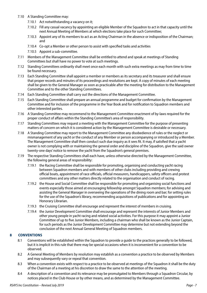- <span id="page-8-0"></span>7.10 A Standing Committee may:
	- 7.10.1 Act notwithstanding a vacancy on it;
	- 7.10.2 Fill any casual vacancy by appointing an eligible Member of the Squadron to act in that capacity until the next Annual Meeting of Members at which elections take place for such Committee;
	- 7.10.3 Appoint any of its members to act as an Acting Chairman in the absence or indisposition of the Chairman; and
	- 7.10.4 Co-opt a Member or other person to assist with specified tasks and activities
	- 7.10.5 Appoint a sub-committee.
- 7.11 Members of the Management Committee shall be entitled to attend and speak at meetings of Standing Committees but shall have no power to vote at such meetings.
- 7.12 Standing Committees ordinarily shall meet once each month with such extra meetings as may from time to time be found necessary.
- 7.13 Each Standing Committee shall appoint a member or members as its secretary and its treasurer and shall ensure that proper records and minutes of its proceedings and resolutions are kept. A copy of minutes of each meeting shall be given to the General Manager as soon as practicable after the meeting for distribution to the Management Committee and to the other Standing Committees.
- 7.14 Each Standing Committee shall carry out the directions of the Management Committee.
- 7.15 Each Standing Committee shall prepare an annual programme and budget for confirmation by the Management Committee and for inclusion of the programme in the Year Book and for notification to Squadron members and other interested parties.
- 7.16 A Standing Committee may recommend to the Management Committee enactment of by-laws required for the proper conduct of affairs within the Standing Committee's area of responsibility.
- 7.17 Standing Committees may request a meeting with the Management Committee for the purpose of presenting matters of concern on which it is considered action by the Management Committee is desirable or necessary.
- 7.18 A Standing Committee may report to the Management Committee any disobedience of rules or the neglect or mismanagement of any yacht or the conduct of any Member or person accompanying or introduced by a Member. The Management Committee shall then conduct such due inquiry as it sees fit. It may, if satisfied that a yacht owner is not complying with or maintaining the general order and discipline of the Squadron, give the said owner twenty-one days' notice to remove the yacht from the Squadron's general premises.
- 7.19 The respective Standing Committees shall each have, unless otherwise directed by the Management Committee, the following general areas of responsibility:
	- 7.19.1 the Racing Committee shall be responsible for promoting, organising and conducting yacht racing between Squadron members and with members of other clubs including providing and crewing official boats, appointment of race officials, official measurers, handicappers, safety officers and protest committees and any other matters directly related to the organisation and conduct of racing.
	- 7.19.2 the House and Social Committee shall be responsible for promoting and organising social functions and events especially those aimed at encouraging fellowship amongst Squadron members; for advising and assisting the General Manager in overseeing the operations of the dining room and bar; for setting rules for the use of the Squadron's library, recommending acquisitions of publications and for appointing an Honorary Librarian.
	- 7.19.3 the Cruising Committee shall encourage and represent the interest of members in cruising.
	- 7.19.4 the Junior Development Committee shall encourage and represent the interests of Junior Members and other young people in yacht racing and related social activities. For this purpose it may appoint a Junior Committee of up to five Junior Members, including a chairman who shall be known as the Junior Captain, for such periods as the Junior Development Committee may determine but not extending beyond the conclusion of the next Annual General Meeting of Squadron members.

#### **8 CONVENTIONS**

- 8.1 Conventions will be established within the Squadron to provide a guide to the practices generally to be followed, but it is implicit in this rule that there may be special occasions when it is inconvenient for a convention to be observed.
- 8.2 A General Meeting of Members by resolution may establish as a convention a practice to be observed by Members and may subsequently vary or repeal that convention.
- 8.3 When a convention exists with respect to a practice to be observed at meetings of the Squadron it shall be the duty of the Chairman of a meeting at his discretion to draw the same to the attention of the meeting.
- 8.4 A description of a convention and its relevance may be promulgated to Members through a Squadron Circular, by notices placed in the Club House or by other means, and as determined by the Management Committee.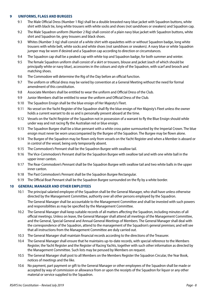#### <span id="page-9-0"></span>**9 UNIFORMS, FLAGS AND BURGEES**

- 9.1 The Male Official Dress (Number 1 Rig) shall be a double breasted navy blue jacket with Squadron buttons, white shirt with black tie, long white trousers with white socks and shoes (not sandshoes or sneakers) and Squadron cap.
- 9.2 The Male Squadron uniform (Number 2 Rig) shall consist of a plain navy blue jacket with Squadron buttons, white shirt and Squadron tie, grey trousers and black shoes.
- 9.3 Whites (Number 3 rig) shall consist of a white shirt with epaulettes with or without Squadron badge, long white trousers with white belt, white socks and white shoes (not sandshoes or sneakers). A navy blue or white Squadron jumper may be worn if desired and a Squadron cap according to direction or circumstances.
- 9.4 The Squadron cap shall be a peaked cap with white top and Squadron badge, for both summer and winter.
- 9.5 The female Squadron uniform shall consist of a skirt or trousers, blouse and jacket (each of which should be principally white or navy blue), accessories in the colours and style of the Squadron, with scarf and brooch and matching shoes.
- 9.6 The Commodore will determine the Rig of the Day before an official function.
- 9.7 The uniform or official dress may be varied by convention at a General Meeting without the need for formal amendment of this constitution.
- 9.8 Associate Members shall be entitled to wear the uniform and Official Dress of the Club.
- 9.9 Junior Members shall be entitled to wear the uniform and Official Dress of the Club.
- 9.10 The Squadron Ensign shall be the blue ensign of Her Majesty's Fleet.
- 9.11 No vessel on the Yacht Register of the Squadron shall fly the blue ensign of Her Majesty's Fleet unless the owner holds a current warrant to do so and is personally present aboard at the time.
- 9.12 Vessels on the Yacht Register of the Squadron not in possession of a warrant to fly the Blue Ensign should while under way and not racing fly the Australian red or blue ensign.
- 9.13 The Squadron Burgee shall be a blue pennant with a white cross patee surmounted by the Imperial Crown. The blue ensign must never be worn unaccompanied by the Burgee of the Squadron. The Burgee may be flown alone.
- 9.14 The Burgee of the Squadron may be flown only from vessels on the Yacht Register and when a Member is aboard or in control of the vessel, being only temporarily absent.
- 9.15 The Commodore's Pennant shall be the Squadron Burgee with swallow tail.
- 9.16 The Vice-Commodore's Pennant shall be the Squadron Burgee with swallow tail and with one white ball in the upper inner canton.
- 9.17 The Rear-Commodore's Pennant shall be the Squadron Burgee with swallow tail and two white balls in the upper inner canton.
- 9.18 The Past Commodore's Pennant shall be the Squadron Burgee Rectangular.
- 9.19 The Official Boat Pennant shall be the Squadron Burgee surrounded on the fly by a white border.

#### **10 GENERAL MANAGER AND OTHER EMPLOYEES**

- 10.1 The principal salaried employee of the Squadron shall be the General Manager, who shall have unless otherwise directed by the Management Committee, authority over all other persons employed by the Squadron. The General Manager shall be accountable to the Management Committee and shall be invested with such powers and responsibilities as may be specified by the Management Committee.
- 10.2 The General Manager shall keep suitable records of all matters affecting the Squadron, including minutes of all official meetings. Unless on leave, the General Manager shall attend all meetings of the Management Committee, and the General, Special General and Annual General Meetings of Members. The General Manager shall deal with the correspondence of the Squadron, attend to the management of the Squadron's general premises; and will see that all instructions from the Management Committee are duly carried out.
- 10.3 The General Manager shall maintain financial records according to the directions of the Treasurer.
- 10.4 The General Manager shall ensure that he maintains up-to-date records, with special reference to the Members Register, the Yacht Register and the Register of Racing Yachts, together with such other information as directed by the Management Committee. Such lists may be perused by Members on request.
- 10.5 The General Manager shall post to all Members on the Members Register the Squadron Circular, the Year Book, notices of meetings and the like.
- 10.6 No payment, part payment or gift to the General Manager or other employees of the Squadron shall be made or accepted by way of commission or allowance from or upon the receipts of the Squadron for liquor or any other material or service supplied to the Squadron.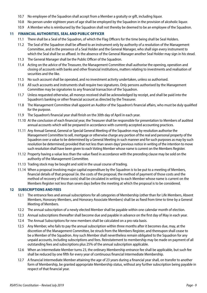- <span id="page-10-0"></span>10.7 No employee of the Squadron shall accept from a Member a gratuity or gift, including liquor.
- 10.8 No person under eighteen years of age shall be employed by the Squadron in the provision of alcoholic liquor.
- 10.9 A Member who is reimbursed by the Squadron shall not thereby be deemed to be an employee of the Squadron.

#### **11 FINANCIAL AUTHORITIES, SEAL AND PUBLIC OFFICER**

- 11.1 There shall be a Seal of the Squadron, of which the Flag Officers for the time being shall be Seal Holders.
- 11.2 The Seal of the Squadron shall be affixed to an instrument only by authority of a resolution of the Management Committee, and in the presence of a Seal Holder and the General Manager, who shall sign every instrument to which the Seal shall be so affixed. In the absence of the General Manager another Seal Holder may sign in his stead.
- 11.3 The General Manager shall be the Public Officer of the Squadron.
- 11.4 Acting on the advice of the Treasurer, the Management Committee shall authorise the opening, operation and closing of accounts with banks and other financial institutions, matters relating to investments and realisation of securities and the like.
- 11.5 No such account shall be operated, and no investment activity undertaken, unless so authorised.
- 11.6 All such accounts and instruments shall require two signatures. Only persons authorised by the Management Committee may be signatories to any financial transaction of the Squadron.
- 11.7 Unless requested otherwise, all moneys received shall be acknowledged by receipt, and shall be paid into the Squadron's banking or other financial account as directed by the Treasurer.
- 11.8 The Management Committee shall appoint an Auditor of the Squadron's financial affairs, who must be duly qualified for the purpose.
- 11.9 The Squadron's financial year shall finish on the 30th day of April in each year.
- 11.10 At the conclusion of each financial year, the Treasurer shall be responsible for presentation to Members of audited annual accounts which will be prepared in accordance with currently accepted accounting practices.
- 11.11 Any Annual General, General or Special General Meeting of the Squadron may by resolution authorise the Management Committee to sell, mortgage or otherwise charge any portion of the real and personal property of the Squadron over a value to be determined by a General Meeting in such manner and for such purposes as may by such resolution be determined; provided that not less than seven days' previous notice in writing of the intention to move such resolution shall have been given to each Voting Member whose name is current on the Members Register.
- 11.12 Property having a value less than the value fixed in accordance with the preceding clause may be sold on the authority of the Management Committee.
- 11.13 Trading stock may be bought and sold in the usual course of trading.
- 11.14 When a proposal involving major capital expenditure by the Squadron is to be put to a meeting of Members, financial details of that proposal (ie. the costs of the proposal, the method of payment of those costs and the method of recovery of those costs) shall be circulated in writing to each Member whose name is current on the Members Register not less than seven days before the meeting at which the proposal is to be considered.

#### **12 SUBSCRIPTIONS AND FEES**

- 12.1 The entrance fees and annual subscriptions for all categories of Membership (other than for Life Members, Absent Members, Honorary Members, and Honorary Associate Members) shall be as fixed from time to time by a General Meeting of Members.
- 12.2 The annual subscription of a newly elected Member shall be payable within one calendar month of election.
- 12.3 Annual subscriptions thereafter shall become due and payable in advance on the first day of May in each year.
- 12.4 The Annual Subscriptions for new members shall be calculated on a pro rata basis.
- 12.5 Any Member, who fails to pay the annual subscription within three months after it becomes due, may, at the discretion of the Management Committee, be struck from the Members Register, and thereupon shall cease to be a Member of the Squadron. Any such Member shall nevertheless remain obligated to the Squadron for any unpaid accounts, including subscriptions and fees. Reinstatement to membership may be made on payment of all outstanding fees and subscriptions plus 25% of the annual subscription applicable.
- 12.6 When an Intermediate Member turns 23, the ordinary Membership entrance fee shall be applicable, but such fee shall be reduced by one fifth for every year of continuous financial Intermediate Membership.
- 12.7 A financial Intermediate Member attaining the age of 23 years during a financial year shall, on transfer to another form of Membership, be granted appropriate Membership status, without any further subscription being payable in respect of that financial year.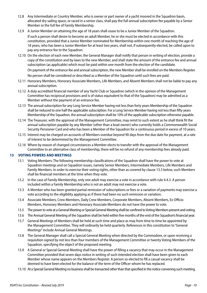- <span id="page-11-0"></span>12.8 Any Intermediate or Country Member, who is owner or part owner of a yacht moored in the Squadron basin, allocated dry sailing space, or raced in a senior class, shall pay the full annual subscription fee payable by a Senior Member or the full fee of Family Membership.
- 12.9 A Junior Member on attaining the age of 18 years shall cease to be a Junior Member of the Squadron. If such a person shall desire to become an adult Member, he or she must be elected in accordance with this constitution, provided that a Junior Member nominated for Membership within one month of reaching the age of 18 years, who has been a Junior Member for at least two years, shall not, if subsequently elected, be called upon to pay any entrance fee to the Squadron.
- 12.10 On the election of each new Member, the General Manager shall notify that person in writing of election, provide a copy of the constitution and by-laws to the new Member, and shall state the amount of the entrance fee and annual subscription (as applicable) which must be paid within one month from the election of the candidate. On payment of the entrance fee and annual subscription, the new Member shall be enrolled on the Members Register. No person shall be considered or described as a Member of the Squadron until such fees are paid.
- 12.11 Honorary Members, Honorary Associate Members, Life Members, and Absent Members shall not be liable to pay any annual subscription.
- 12.12 A duly accredited financial member of any Yacht Club or Squadron (which in the opinion of the Management Committee has reciprocal provisions and is of status equivalent to that of the Squadron) may be admitted as a Member without the payment of an entrance fee.
- 12.13 The annual subscription for any Long Service Member having not less than forty years Membership of the Squadron shall be reduced to one half the applicable subscription. For a Long Service Member having not less than fifty years Membership of the Squadron, the annual subscription shall be 10% of the applicable subscription otherwise payable.
- 12.14 The Treasurer, with the approval of the Management Committee, may remit to such extent as he shall think fit the annual subscription payable by any Member (other than a boat owner) who currently holds a Commonwealth Social Security Pensioner Card and who has been a Member of the Squadron for a continuous period in excess of 10 years.
- 12.15 Interest may be charged on accounts of Members overdue beyond 90 days from the due date for payment, at a rate of interest to be determined by the Management Committee.
- 12.16 Where by reason of changed circumstances a Member elects to transfer with the approval of the Management Committee to an alternative class of membership, there will be no refund of any membership fees already paid.

#### **13 VOTING POWERS AND MEETINGS**

- 13.1 Voting Members: The following membership classifications of the Squadron shall have the power to vote at Squadron meetings and on Squadron issues, namely Senior Members, Intermediate Members, Life Members and Family Members. In order to exercise their voting rights, other than as covered by clause 13.3 below, such Members shall be financial members at the time when they vote.
- 13.2 In the case of Family Membership, only one adult may exercise a vote in accordance with rule 4.4.3. A person included within a Family Membership who is not an adult may not exercise a vote.
- 13.3 A Member who has been granted partial remission of subscriptions or fees or a variation of payments may exercise a vote according to the eligibility applying as if there had been no such remission or variation.
- 13.4 Associate Members, Crew Members, Daily Crew Members, Corporate Members, Absent Members, Ex Officio Members, Honorary Members and Honorary Associate Members do not have the power to vote.
- 13.5 The power to vote at a General Meeting or Special General Meeting shall be confined to Voting Members present and voting.
- 13.6 The Annual General Meeting of the Squadron shall be held within five months of the end of the Squadron's financial year.
- 13.7 General Meetings of Members shall be held at such time and place as may from time to time be appointed by the Management Committee. They will ordinarily be held quarterly. References in this constitution to "General Meetings" include Annual General Meetings.
- 13.8 The General Manager shall call a Special General Meeting when directed by the Commodore, or upon receiving a requisition signed by not less than four members of the Management Committee or twenty Voting Members of the Squadron, specifying the object of the proposed meeting.
- 13.9 A General or Special General Meeting shall have the power of filling a vacancy that may occur in the Management Committee provided that seven days notice in writing of such intended election shall have been given to each Member whose name appears on the Members Register. A person so elected to fill a casual vacancy shall be deemed to have been elected for the balance of the term of the Officer whom he has replaced.
- 13.10 At a Special General Meeting no business shall be transacted other than that specified in the notice convening such meeting.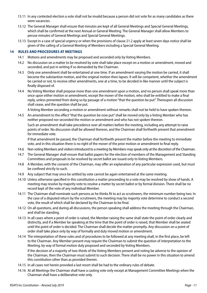- <span id="page-12-0"></span>13.11 In any contested election a vote shall not be invalid because a person did not vote for as many candidates as there were vacancies.
- 13.12 The General Manager shall ensure that minutes are kept of all General Meetings and Special General Meetings, which shall be confirmed at the next Annual or General Meeting. The General Manager shall allow Members to peruse minutes of General Meetings and Special General Meetings.
- 13.13 Except in a case of special urgency or when the provisions of clause 21.2 apply at least seven days notice shall be given of the calling of a General Meeting of Members including a Special General Meeting.

#### **14 RULES AND PROCEDURES AT MEETINGS**

- 14.1 Motions and amendments may be proposed and seconded only by Voting Members.
- 14.2 No discussion on a matter to be resolved by vote shall take place except on a motion or amendment, moved and seconded, and put in writing if so demanded by the Chairman.
- 14.3 Only one amendment shall be entertained at one time. If an amendment varying the motion be carried, it shall become the substantive motion, and the original motion then lapses. It will be competent, whether the amendment be carried or not, to receive other amendments, one at a time, to be decided in like manner until the subject is finally disposed of.
- 14.4 No Voting Member shall propose more than one amendment upon a motion, and no person shall speak more than once upon either motion or amendment, except the mover of the motion, who shall be entitled to make a final reply, unless prevented from doing so by passage of a motion "that the question be put". Thereupon all discussion shall cease, and the question shall be put.

A Voting Member seconding a motion or amendment without remarks shall not be held to have spoken thereon.

14.5 An amendment to the effect "that the question be now put" shall be moved only by a Voting Member who has neither proposed nor seconded the motion or amendment and who has not spoken thereon.

Such an amendment shall take precedence over all matters before the meeting, including any attempt to raise points of order. No discussion shall be allowed thereon, and the Chairman shall forthwith present that amendment for immediate vote.

If that amendment be passed, the Chairman shall forthwith present the matter before the meeting to immediate vote, and in this situation there is no right of the mover of the prior motion or amendment to final reply.

- 14.6 Non voting Members and visitors introduced to a meeting by Members may speak only at the discretion of the Chairman.
- 14.7 The General Manager shall ensure that ballot papers for the election of members of the Management and Standing Committees and proposals to be resolved by secret ballot are issued only to Voting Members.
- 14.8 A Member, with the consent of the Chairman, may offer an explanation of any particular expression used, but must be confined strictly to such.
- 14.9 Any subject that may once be settled by vote cannot be again entertained at the same meeting.
- 14.10 Unless otherwise specified in this constitution a matter proceeding to a vote may be resolved by show of hands. A meeting may resolve by majority vote to resolve a matter by secret ballot or by formal division. There shall be no record kept of the vote of any individual Member.
- 14.11 The Chairman shall nominate such persons as he thinks fit to act as scrutineers, the minimum number being two. In the case of a disputed return by the scrutineers, the meeting may by majority vote determine to conduct a second vote, the result of which shall be declared by the Chairman to be final.
- 14.12 On all questions, and during all discussions, the person speaking shall address the meeting through the Chairman, and shall be standing.
- 14.13 In all cases where a point of order is raised, the Member raising the same shall state the point of order clearly and distinctly, and if a Member be speaking at the time that the point of order is raised, that Member shall be seated until the point of order is decided. The Chairman shall decide the matter promptly. Any discussion on a point of order shall take place only by way of formally and duly moved motion or amendment.
- 14.14 The interpretation of these rules and of procedures to be followed at any meeting shall, in the first place, be left to the Chairman. Any Member present may require the Chairman to submit the question of interpretation to the Meeting, by way of formal motion duly proposed and seconded by Voting Members. If the decision of a majority of two-thirds of the Voting Members present and voting be adverse to the opinion of

the Chairman, then the Chairman must submit to such decision. There shall be no power in this situation to amend this constitution other than as provided therein.

- 14.15 In all cases not herein provided a last resort shall be had to the ordinary rules of debate.
- 14.16 At all Meetings the Chairman shall have a casting vote only except at Management Committee Meetings when the Chairman shall have a deliberative vote only.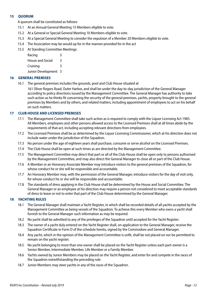#### <span id="page-13-0"></span>**15 QUORUM**

A quorum shall be constituted as follows:

- 15.1 At an Annual General Meeting 15 Members eligible to vote.
- 15.2 At a General or Special General Meeting 10 Members eligible to vote.
- 15.3 At a Special General Meeting to consider the expulsion of a Member 20 Members eligible to vote.
- 15.4 The Association may be would up for in the manner provided for in the act
- 15.5 At Standing Committee Meetings:

| Racing                  | 3 |
|-------------------------|---|
| <b>House and Social</b> | 3 |
| Cruising                | 3 |
| Junior Development 3    |   |

#### **16 GENERAL PREMISES**

16.1 The general premises includes the grounds, pool and Club House situated at

161 Oliver Rogers Road, Outer Harbor, and shall be under the day-to-day jurisdiction of the General Manager according to policy directions issued by the Management Committee. The General Manager has authority to take such action as he thinks fit concerning the security of the general premises, yachts, property brought to the general premises by Members and by others, and related matters, including appointment of employees to act on his behalf on such matters.

#### **17 CLUB HOUSE AND LICENSED PREMISES**

- 17.1 The Management Committee shall take such action as is required to comply with the Liquor Licensing Act 1985. All Members, employees and other persons allowed access to the Licensed Premises shall at all times abide by the requirements of that act, including accepting relevant directions from employees.
- 17.2 The Licensed Premises shall be as determined by the Liquor Licensing Commissioner, which at his direction does not include water under the jurisdiction of the Squadron.
- 17.3 No person under the age of eighteen years shall purchase, consume or serve alcohol on the Licensed Premises.
- 17.4 The Club House shall be open at such times as are directed by the Management Committee.
- 17.5 The Management Committee may direct that part or all of the Club House shall be open only to persons authorised by the Management Committee, and may also direct the General Manager to close all or part of the Club House.
- 17.6 A Member or an Honorary Associate Member may introduce visitors to the general premises of the Squadron, for whose conduct he or she will be responsible and accountable.
- 17.7 An Honorary Member may, with the permission of the General Manager, introduce visitors for the day of visit only, for whose conduct he or she will be responsible and accountable.
- 17.8 The standards of dress applying in the Club House shall be determined by the House and Social Committee. The General Manager or an employee at his direction may require a person not considered to meet acceptable standards of dress to leave or not to enter that part of the Club House determined by the General Manager.

#### **18 YACHTING RULES**

- 18.1 The General Manager shall maintain a Yacht Register, in which shall be recorded details of all yachts accepted by the Management Committee as being vessels of the Squadron. To achieve this every Member who owns a yacht shall furnish to the General Manager such information as may be required.
- 18.2 No yacht shall be admitted to any of the privileges of the Squadron until accepted for the Yacht Register.
- 18.3 The owner of a yacht duly entered on the Yacht Register shall, on application to the General Manager, receive the Squadron Certificate in Form D of the schedule hereto, signed by the Commodore and General Manager.
- 18.4 Any yacht, which in the opinion of the Management Committee is unfit, shall be not placed on nor be permitted to remain on the yacht register.
- 18.5 No yacht belonging to more than one owner shall be placed on the Yacht Register unless each part-owner is a Senior Member, Intermediate Member, Life Member or a Family Member.
- 18.6 Yachts owned by Junior Members may be placed on the Yacht Register, and enter for and compete in the races of the Squadron notwithstanding the preceding rule.
- 18.7 Junior Members may steer yachts in any of the races of the Squadron.